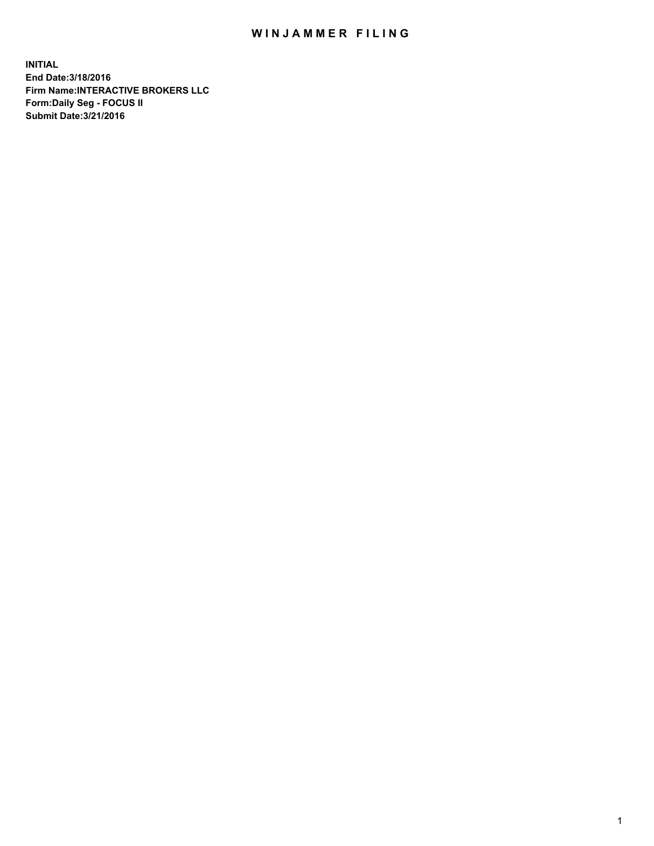## WIN JAMMER FILING

**INITIAL End Date:3/18/2016 Firm Name:INTERACTIVE BROKERS LLC Form:Daily Seg - FOCUS II Submit Date:3/21/2016**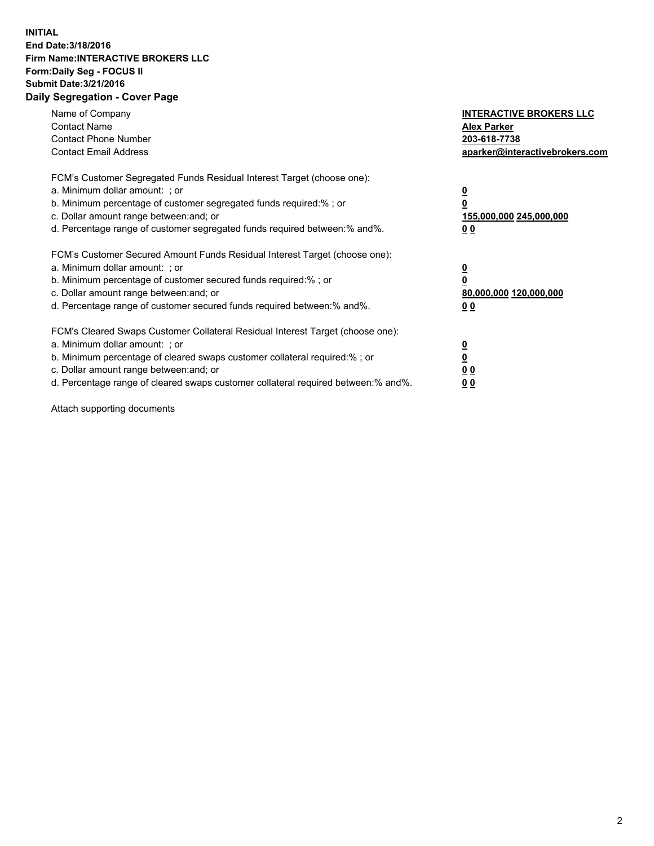## **INITIAL End Date:3/18/2016 Firm Name:INTERACTIVE BROKERS LLC Form:Daily Seg - FOCUS II Submit Date:3/21/2016 Daily Segregation - Cover Page**

| Name of Company<br><b>Contact Name</b><br><b>Contact Phone Number</b><br><b>Contact Email Address</b>                                                                                                                                                                                                                          | <b>INTERACTIVE BROKERS LLC</b><br><b>Alex Parker</b><br>203-618-7738<br>aparker@interactivebrokers.com |
|--------------------------------------------------------------------------------------------------------------------------------------------------------------------------------------------------------------------------------------------------------------------------------------------------------------------------------|--------------------------------------------------------------------------------------------------------|
| FCM's Customer Segregated Funds Residual Interest Target (choose one):<br>a. Minimum dollar amount: ; or<br>b. Minimum percentage of customer segregated funds required:%; or<br>c. Dollar amount range between: and; or<br>d. Percentage range of customer segregated funds required between:% and%.                          | <u>0</u><br>155,000,000 245,000,000<br><u>0 0</u>                                                      |
| FCM's Customer Secured Amount Funds Residual Interest Target (choose one):<br>a. Minimum dollar amount: ; or<br>b. Minimum percentage of customer secured funds required:% ; or<br>c. Dollar amount range between: and; or<br>d. Percentage range of customer secured funds required between:% and%.                           | <u>0</u><br>80,000,000 120,000,000<br><u>0 0</u>                                                       |
| FCM's Cleared Swaps Customer Collateral Residual Interest Target (choose one):<br>a. Minimum dollar amount: ; or<br>b. Minimum percentage of cleared swaps customer collateral required:% ; or<br>c. Dollar amount range between: and; or<br>d. Percentage range of cleared swaps customer collateral required between:% and%. | <u>0</u><br>0 <sub>0</sub><br>0 <sub>0</sub>                                                           |

Attach supporting documents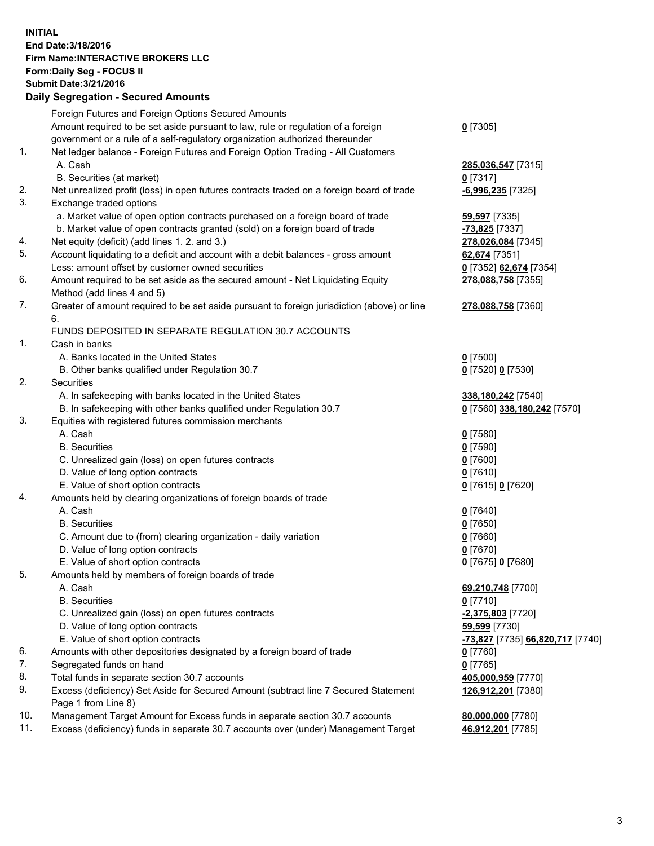## **INITIAL End Date:3/18/2016 Firm Name:INTERACTIVE BROKERS LLC Form:Daily Seg - FOCUS II Submit Date:3/21/2016 Daily Segregation - Secured Amounts**

|     | Daily Jegregation - Jeculed Aniounts                                                                       |                                  |
|-----|------------------------------------------------------------------------------------------------------------|----------------------------------|
|     | Foreign Futures and Foreign Options Secured Amounts                                                        |                                  |
|     | Amount required to be set aside pursuant to law, rule or regulation of a foreign                           | $0$ [7305]                       |
|     | government or a rule of a self-regulatory organization authorized thereunder                               |                                  |
| 1.  | Net ledger balance - Foreign Futures and Foreign Option Trading - All Customers                            |                                  |
|     | A. Cash                                                                                                    | 285,036,547 [7315]               |
|     | B. Securities (at market)                                                                                  | $0$ [7317]                       |
| 2.  | Net unrealized profit (loss) in open futures contracts traded on a foreign board of trade                  | $-6,996,235$ [7325]              |
| 3.  | Exchange traded options                                                                                    |                                  |
|     | a. Market value of open option contracts purchased on a foreign board of trade                             | 59,597 [7335]                    |
|     | b. Market value of open contracts granted (sold) on a foreign board of trade                               | -73,825 [7337]                   |
| 4.  | Net equity (deficit) (add lines 1.2. and 3.)                                                               | 278,026,084 [7345]               |
| 5.  | Account liquidating to a deficit and account with a debit balances - gross amount                          | 62,674 [7351]                    |
|     | Less: amount offset by customer owned securities                                                           | 0 [7352] 62,674 [7354]           |
| 6.  | Amount required to be set aside as the secured amount - Net Liquidating Equity                             | 278,088,758 [7355]               |
|     | Method (add lines 4 and 5)                                                                                 |                                  |
| 7.  | Greater of amount required to be set aside pursuant to foreign jurisdiction (above) or line                | 278,088,758 [7360]               |
|     | 6.                                                                                                         |                                  |
|     | FUNDS DEPOSITED IN SEPARATE REGULATION 30.7 ACCOUNTS                                                       |                                  |
| 1.  | Cash in banks                                                                                              |                                  |
|     | A. Banks located in the United States                                                                      | $0$ [7500]                       |
|     | B. Other banks qualified under Regulation 30.7                                                             | 0 [7520] 0 [7530]                |
| 2.  | Securities                                                                                                 |                                  |
|     | A. In safekeeping with banks located in the United States                                                  | 338,180,242 [7540]               |
|     | B. In safekeeping with other banks qualified under Regulation 30.7                                         | 0 [7560] 338,180,242 [7570]      |
| 3.  | Equities with registered futures commission merchants                                                      |                                  |
|     | A. Cash                                                                                                    | $0$ [7580]                       |
|     | <b>B.</b> Securities                                                                                       | $0$ [7590]                       |
|     | C. Unrealized gain (loss) on open futures contracts                                                        | $0$ [7600]                       |
|     | D. Value of long option contracts                                                                          | $0$ [7610]                       |
|     | E. Value of short option contracts                                                                         | 0 [7615] 0 [7620]                |
| 4.  | Amounts held by clearing organizations of foreign boards of trade                                          |                                  |
|     | A. Cash                                                                                                    | $0$ [7640]                       |
|     | <b>B.</b> Securities                                                                                       | $0$ [7650]                       |
|     | C. Amount due to (from) clearing organization - daily variation                                            | $0$ [7660]                       |
|     | D. Value of long option contracts                                                                          | $0$ [7670]                       |
|     | E. Value of short option contracts                                                                         | 0 [7675] 0 [7680]                |
| 5.  | Amounts held by members of foreign boards of trade                                                         |                                  |
|     | A. Cash                                                                                                    | 69,210,748 [7700]                |
|     | <b>B.</b> Securities                                                                                       | $0$ [7710]                       |
|     | C. Unrealized gain (loss) on open futures contracts                                                        | $-2,375,803$ [7720]              |
|     | D. Value of long option contracts                                                                          | 59,599 [7730]                    |
|     | E. Value of short option contracts                                                                         | -73,827 [7735] 66,820,717 [7740] |
| 6.  | Amounts with other depositories designated by a foreign board of trade                                     | 0 [7760]                         |
| 7.  | Segregated funds on hand                                                                                   | $0$ [7765]                       |
| 8.  | Total funds in separate section 30.7 accounts                                                              | 405,000,959 [7770]               |
| 9.  | Excess (deficiency) Set Aside for Secured Amount (subtract line 7 Secured Statement<br>Page 1 from Line 8) | 126,912,201 [7380]               |
| 10. | Management Target Amount for Excess funds in separate section 30.7 accounts                                | 80,000,000 [7780]                |
| 11. | Excess (deficiency) funds in separate 30.7 accounts over (under) Management Target                         | 46,912,201 [7785]                |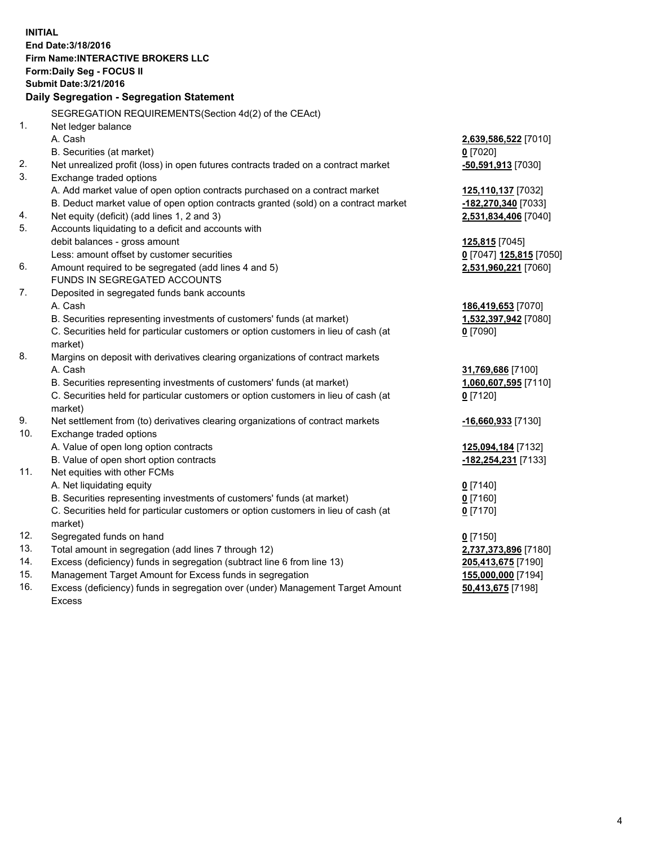**INITIAL End Date:3/18/2016 Firm Name:INTERACTIVE BROKERS LLC Form:Daily Seg - FOCUS II Submit Date:3/21/2016 Daily Segregation - Segregation Statement** SEGREGATION REQUIREMENTS(Section 4d(2) of the CEAct) 1. Net ledger balance A. Cash **2,639,586,522** [7010] B. Securities (at market) **0** [7020] 2. Net unrealized profit (loss) in open futures contracts traded on a contract market **-50,591,913** [7030] 3. Exchange traded options A. Add market value of open option contracts purchased on a contract market **125,110,137** [7032] B. Deduct market value of open option contracts granted (sold) on a contract market **-182,270,340** [7033] 4. Net equity (deficit) (add lines 1, 2 and 3) **2,531,834,406** [7040] 5. Accounts liquidating to a deficit and accounts with debit balances - gross amount **125,815** [7045] Less: amount offset by customer securities **0** [7047] **125,815** [7050] 6. Amount required to be segregated (add lines 4 and 5) **2,531,960,221** [7060] FUNDS IN SEGREGATED ACCOUNTS 7. Deposited in segregated funds bank accounts A. Cash **186,419,653** [7070] B. Securities representing investments of customers' funds (at market) **1,532,397,942** [7080] C. Securities held for particular customers or option customers in lieu of cash (at market) **0** [7090] 8. Margins on deposit with derivatives clearing organizations of contract markets A. Cash **31,769,686** [7100] B. Securities representing investments of customers' funds (at market) **1,060,607,595** [7110] C. Securities held for particular customers or option customers in lieu of cash (at market) **0** [7120] 9. Net settlement from (to) derivatives clearing organizations of contract markets **-16,660,933** [7130] 10. Exchange traded options A. Value of open long option contracts **125,094,184** [7132] B. Value of open short option contracts **-182,254,231** [7133] 11. Net equities with other FCMs A. Net liquidating equity **0** [7140] B. Securities representing investments of customers' funds (at market) **0** [7160] C. Securities held for particular customers or option customers in lieu of cash (at market) **0** [7170] 12. Segregated funds on hand **0** [7150] 13. Total amount in segregation (add lines 7 through 12) **2,737,373,896** [7180] 14. Excess (deficiency) funds in segregation (subtract line 6 from line 13) **205,413,675** [7190] 15. Management Target Amount for Excess funds in segregation **155,000,000** [7194] **50,413,675** [7198]

16. Excess (deficiency) funds in segregation over (under) Management Target Amount Excess